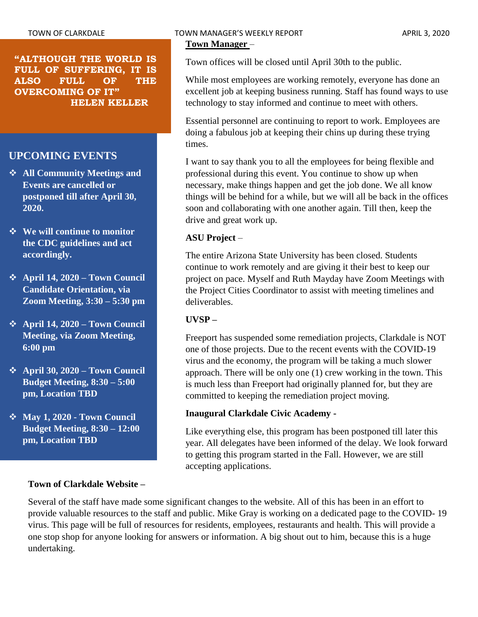**"ALTHOUGH THE WORLD IS FULL OF SUFFERING, IT IS ALSO FULL OF THE OVERCOMING OF IT" HELEN KELLER**

# **UPCOMING EVENTS**

- ❖ **All Community Meetings and Events are cancelled or postponed till after April 30, 2020.**
- ❖ **We will continue to monitor the CDC guidelines and act accordingly.**
- ❖ **April 14, 2020 – Town Council Candidate Orientation, via Zoom Meeting, 3:30 – 5:30 pm**
- ❖ **April 14, 2020 – Town Council Meeting, via Zoom Meeting, 6:00 pm**
- ❖ **April 30, 2020 – Town Council Budget Meeting, 8:30 – 5:00 pm, Location TBD**
- ❖ **May 1, 2020 - Town Council Budget Meeting, 8:30 – 12:00 pm, Location TBD**

## **Town of Clarkdale Website –**

# TOWN OF CLARKDALE TOWN MANAGER'S WEEKLY REPORT TOWN OF CLARKDALE

**Town Manager** –

Town offices will be closed until April 30th to the public.

While most employees are working remotely, everyone has done an excellent job at keeping business running. Staff has found ways to use technology to stay informed and continue to meet with others.

Essential personnel are continuing to report to work. Employees are doing a fabulous job at keeping their chins up during these trying times.

I want to say thank you to all the employees for being flexible and professional during this event. You continue to show up when necessary, make things happen and get the job done. We all know things will be behind for a while, but we will all be back in the offices soon and collaborating with one another again. Till then, keep the drive and great work up.

#### **ASU Project** –

The entire Arizona State University has been closed. Students continue to work remotely and are giving it their best to keep our project on pace. Myself and Ruth Mayday have Zoom Meetings with the Project Cities Coordinator to assist with meeting timelines and deliverables.

#### **UVSP –**

Freeport has suspended some remediation projects, Clarkdale is NOT one of those projects. Due to the recent events with the COVID-19 virus and the economy, the program will be taking a much slower approach. There will be only one (1) crew working in the town. This is much less than Freeport had originally planned for, but they are committed to keeping the remediation project moving.

#### **Inaugural Clarkdale Civic Academy -**

Like everything else, this program has been postponed till later this year. All delegates have been informed of the delay. We look forward to getting this program started in the Fall. However, we are still accepting applications.

Several of the staff have made some significant changes to the website. All of this has been in an effort to provide valuable resources to the staff and public. Mike Gray is working on a dedicated page to the COVID- 19 virus. This page will be full of resources for residents, employees, restaurants and health. This will provide a one stop shop for anyone looking for answers or information. A big shout out to him, because this is a huge undertaking.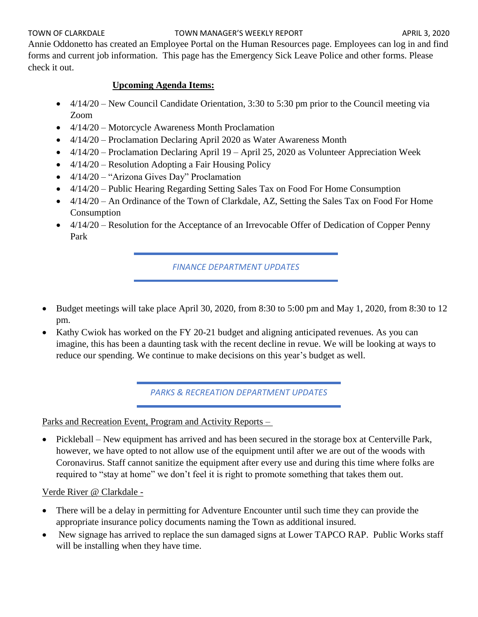#### TOWN OF CLARKDALE TOWN MANAGER'S WEEKLY REPORT TOWN OF CLARKDALE

Annie Oddonetto has created an Employee Portal on the Human Resources page. Employees can log in and find forms and current job information. This page has the Emergency Sick Leave Police and other forms. Please check it out.

## **Upcoming Agenda Items:**

- 4/14/20 New Council Candidate Orientation, 3:30 to 5:30 pm prior to the Council meeting via Zoom
- 4/14/20 Motorcycle Awareness Month Proclamation
- 4/14/20 Proclamation Declaring April 2020 as Water Awareness Month
- 4/14/20 Proclamation Declaring April 19 April 25, 2020 as Volunteer Appreciation Week
- 4/14/20 Resolution Adopting a Fair Housing Policy
- 4/14/20 "Arizona Gives Day" Proclamation
- 4/14/20 Public Hearing Regarding Setting Sales Tax on Food For Home Consumption
- 4/14/20 An Ordinance of the Town of Clarkdale, AZ, Setting the Sales Tax on Food For Home Consumption
- 4/14/20 Resolution for the Acceptance of an Irrevocable Offer of Dedication of Copper Penny Park

*FINANCE DEPARTMENT UPDATES*

- Budget meetings will take place April 30, 2020, from 8:30 to 5:00 pm and May 1, 2020, from 8:30 to 12 pm.
- Kathy Cwiok has worked on the FY 20-21 budget and aligning anticipated revenues. As you can imagine, this has been a daunting task with the recent decline in revue. We will be looking at ways to reduce our spending. We continue to make decisions on this year's budget as well.

*PARKS & RECREATION DEPARTMENT UPDATES*

Parks and Recreation Event, Program and Activity Reports –

• Pickleball – New equipment has arrived and has been secured in the storage box at Centerville Park, however, we have opted to not allow use of the equipment until after we are out of the woods with Coronavirus. Staff cannot sanitize the equipment after every use and during this time where folks are required to "stay at home" we don't feel it is right to promote something that takes them out.

Verde River @ Clarkdale -

- There will be a delay in permitting for Adventure Encounter until such time they can provide the appropriate insurance policy documents naming the Town as additional insured.
- New signage has arrived to replace the sun damaged signs at Lower TAPCO RAP. Public Works staff will be installing when they have time.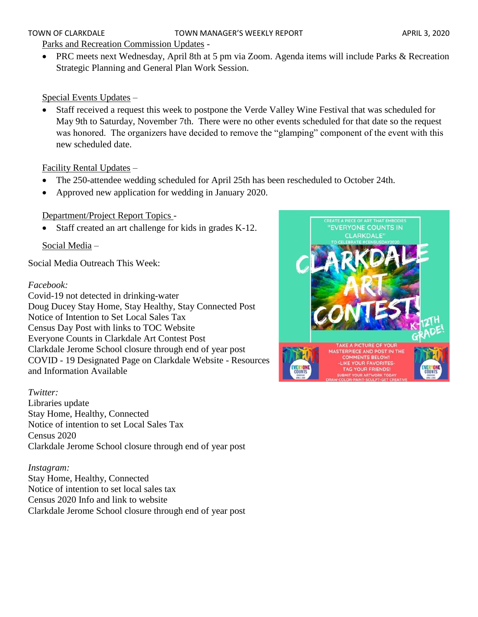#### TOWN OF CLARKDALE TOWN MANAGER'S WEEKLY REPORT APRIL 3, 2020

#### Parks and Recreation Commission Updates -

• PRC meets next Wednesday, April 8th at 5 pm via Zoom. Agenda items will include Parks & Recreation Strategic Planning and General Plan Work Session.

#### Special Events Updates –

• Staff received a request this week to postpone the Verde Valley Wine Festival that was scheduled for May 9th to Saturday, November 7th. There were no other events scheduled for that date so the request was honored. The organizers have decided to remove the "glamping" component of the event with this new scheduled date.

#### Facility Rental Updates –

- The 250-attendee wedding scheduled for April 25th has been rescheduled to October 24th.
- Approved new application for wedding in January 2020.

## Department/Project Report Topics -

Staff created an art challenge for kids in grades K-12.

Social Media –

Social Media Outreach This Week:

#### *Facebook:*

Covid-19 not detected in drinking-water Doug Ducey Stay Home, Stay Healthy, Stay Connected Post Notice of Intention to Set Local Sales Tax Census Day Post with links to TOC Website Everyone Counts in Clarkdale Art Contest Post Clarkdale Jerome School closure through end of year post COVID - 19 Designated Page on Clarkdale Website - Resources and Information Available

#### *Twitter:*

Libraries update Stay Home, Healthy, Connected Notice of intention to set Local Sales Tax Census 2020 Clarkdale Jerome School closure through end of year post

#### *Instagram:*

Stay Home, Healthy, Connected Notice of intention to set local sales tax Census 2020 Info and link to website Clarkdale Jerome School closure through end of year post

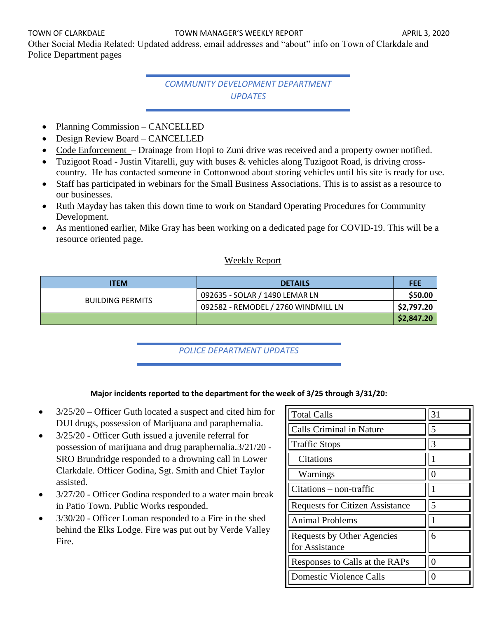Other Social Media Related: Updated address, email addresses and "about" info on Town of Clarkdale and Police Department pages

# *COMMUNITY DEVELOPMENT DEPARTMENT UPDATES*

- Planning Commission CANCELLED
- Design Review Board CANCELLED
- Code Enforcement Drainage from Hopi to Zuni drive was received and a property owner notified.
- Tuzigoot Road **-** Justin Vitarelli, guy with buses & vehicles along Tuzigoot Road, is driving crosscountry. He has contacted someone in Cottonwood about storing vehicles until his site is ready for use.
- Staff has participated in webinars for the Small Business Associations. This is to assist as a resource to our businesses.
- Ruth Mayday has taken this down time to work on Standard Operating Procedures for Community Development.
- As mentioned earlier, Mike Gray has been working on a dedicated page for COVID-19. This will be a resource oriented page.

## Weekly Report

| <b>ITEM</b>             | <b>DETAILS</b>                      | <b>FEE</b> |
|-------------------------|-------------------------------------|------------|
| <b>BUILDING PERMITS</b> | 092635 - SOLAR / 1490 LEMAR LN      | \$50.00    |
|                         | 092582 - REMODEL / 2760 WINDMILL LN | \$2,797.20 |
|                         |                                     | \$2,847.20 |

## *POLICE DEPARTMENT UPDATES*

#### **Major incidents reported to the department for the week of 3/25 through 3/31/20:**

- 3/25/20 Officer Guth located a suspect and cited him for DUI drugs, possession of Marijuana and paraphernalia.
- 3/25/20 Officer Guth issued a juvenile referral for possession of marijuana and drug paraphernalia.3/21/20 - SRO Brundridge responded to a drowning call in Lower Clarkdale. Officer Godina, Sgt. Smith and Chief Taylor assisted.
- 3/27/20 Officer Godina responded to a water main break in Patio Town. Public Works responded.
- 3/30/20 Officer Loman responded to a Fire in the shed behind the Elks Lodge. Fire was put out by Verde Valley Fire.

| <b>Total Calls</b>                           | 31 |
|----------------------------------------------|----|
| Calls Criminal in Nature                     | 5  |
| <b>Traffic Stops</b>                         | 3  |
| Citations                                    |    |
| Warnings                                     |    |
| Citations – non-traffic                      |    |
| <b>Requests for Citizen Assistance</b>       | 5  |
| <b>Animal Problems</b>                       |    |
| Requests by Other Agencies<br>for Assistance | 6  |
| Responses to Calls at the RAPs               |    |
| <b>Domestic Violence Calls</b>               |    |